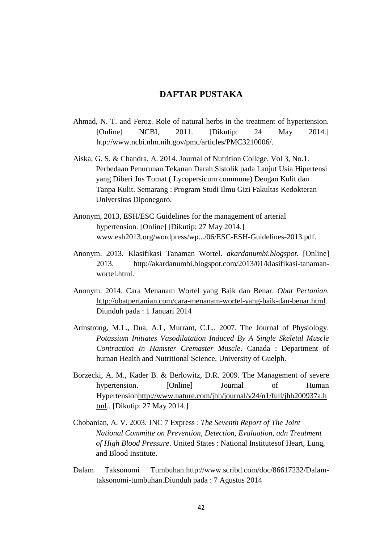## **DAFTAR PUSTAKA**

- Ahmad, N. T. and Feroz. Role of natural herbs in the treatment of hypertension. [Online] NCBI, 2011. [Dikutip: 24 May 2014.] htp://www.ncbi.nlm.nih.gov/pmc/articles/PMC3210006/.
- Aiska, G. S. & Chandra, A. 2014. Journal of Nutrition College. Vol 3, No.1. Perbedaan Penurunan Tekanan Darah Sistolik pada Lanjut Usia Hipertensi yang Diberi Jus Tomat ( Lycopersicum commune) Dengan Kulit dan Tanpa Kulit. Semarang : Program Studi Ilmu Gizi Fakultas Kedokteran Universitas Diponegoro.
- Anonym, 2013, ESH/ESC Guidelines for the management of arterial hypertension. [Online] [Dikutip: 27 May 2014.] www.esh2013.org/wordpress/wp.../06/ESC-ESH-Guidelines-2013.pdf.
- Anonym. 2013. Klasifikasi Tanaman Wortel. *akardanumbi.blogspot.* [Online] 2013. http://akardanumbi.blogspot.com/2013/01/klasifikasi-tanamanwortel.html.
- Anonym. 2014. Cara Menanam Wortel yang Baik dan Benar. *Obat Pertanian.*  [http://obatpertanian.com/cara-menanam-wortel-yang-baik-dan-benar.html.](http://obatpertanian.com/cara-menanam-wortel-yang-baik-dan-benar.html) Diunduh pada : 1 Januari 2014
- Armstrong, M.L., Dua, A.L, Murrant, C.L.. 2007. The Journal of Physiology. *Potassium Initiates Vasodilatation Induced By A Single Skeletal Muscle Contraction In Hamster Cremaster Muscle*. Canada : Department of human Health and Nutritional Science, University of Guelph.
- Borzecki, A. M., Kader B. & Berlowitz, D.R. 2009. The Management of severe hypertension. [Online] Journal of Human Hypertensio[nhttp://www.nature.com/jhh/journal/v24/n1/full/jhh200937a.h](http://www.nature.com/jhh/journal/v24/n1/full/jhh200937a.html) [tml.](http://www.nature.com/jhh/journal/v24/n1/full/jhh200937a.html). [Dikutip: 27 May 2014.]
- Chobanian, A. V. 2003. JNC 7 Express : *The Seventh Report of The Joint National Committe on Prevention, Detection, Evaluation, adn Treatment of High Blood Pressure*. United States : National Institutesof Heart, Lung, and Blood Institute.
- Dalam Taksonomi Tumbuhan.http://www.scribd.com/doc/86617232/Dalamtaksonomi-tumbuhan.Diunduh pada : 7 Agustus 2014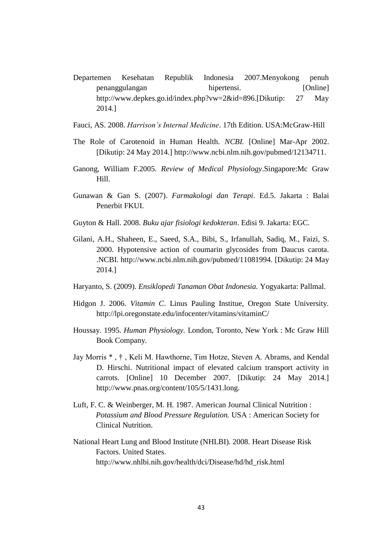- Departemen Kesehatan Republik Indonesia 2007.Menyokong penuh penanggulangan hipertensi. [Online] http://www.depkes.go.id/index.php?vw=2&id=896.[Dikutip: 27 May 2014.]
- Fauci, AS. 2008. *Harrison's Internal Medicine*. 17th Edition. USA:McGraw-Hill
- The Role of Carotenoid in Human Health. *NCBI.* [Online] Mar-Apr 2002. [Dikutip: 24 May 2014.] http://www.ncbi.nlm.nih.gov/pubmed/12134711.
- Ganong, William F.2005*. Review of Medical Physiology*.Singapore:Mc Graw Hill.
- Gunawan & Gan S. (2007). *Farmakologi dan Terapi*. Ed.5. Jakarta : Balai Penerbit FKUI.
- Guyton & Hall. 2008. *Buku ajar fisiologi kedokteran*. Edisi 9. Jakarta: EGC.
- Gilani, A.H., Shaheen, E., Saeed, S.A., Bibi, S., Irfanullah, Sadiq, M., Faizi, S. 2000. Hypotensive action of coumarin glycosides from Daucus carota. .NCBI. http://www.ncbi.nlm.nih.gov/pubmed/11081994. [Dikutip: 24 May 2014.]
- Haryanto, S. (2009). *Ensiklopedi Tanaman Obat Indonesia.* Yogyakarta: Pallmal.
- Hidgon J. 2006. *Vitamin C*. Linus Pauling Institue, Oregon State University. http://lpi.oregonstate.edu/infocenter/vitamins/vitaminC/
- Houssay. 1995. *Human Physiology.* London, Toronto, New York : Mc Graw Hill Book Company.
- Jay Morris \* , † , Keli M. Hawthorne, Tim Hotze, Steven A. Abrams, and Kendal D. Hirschi. Nutritional impact of elevated calcium transport activity in carrots. [Online] 10 December 2007. [Dikutip: 24 May 2014.] http://www.pnas.org/content/105/5/1431.long.
- Luft, F. C. & Weinberger, M. H. 1987. American Journal Clinical Nutrition : *Potassium and Blood Pressure Regulation.* USA : American Society for Clinical Nutrition.
- National Heart Lung and Blood Institute (NHLBI). 2008. Heart Disease Risk Factors. United States. http://www.nhlbi.nih.gov/health/dci/Disease/hd/hd\_risk.html